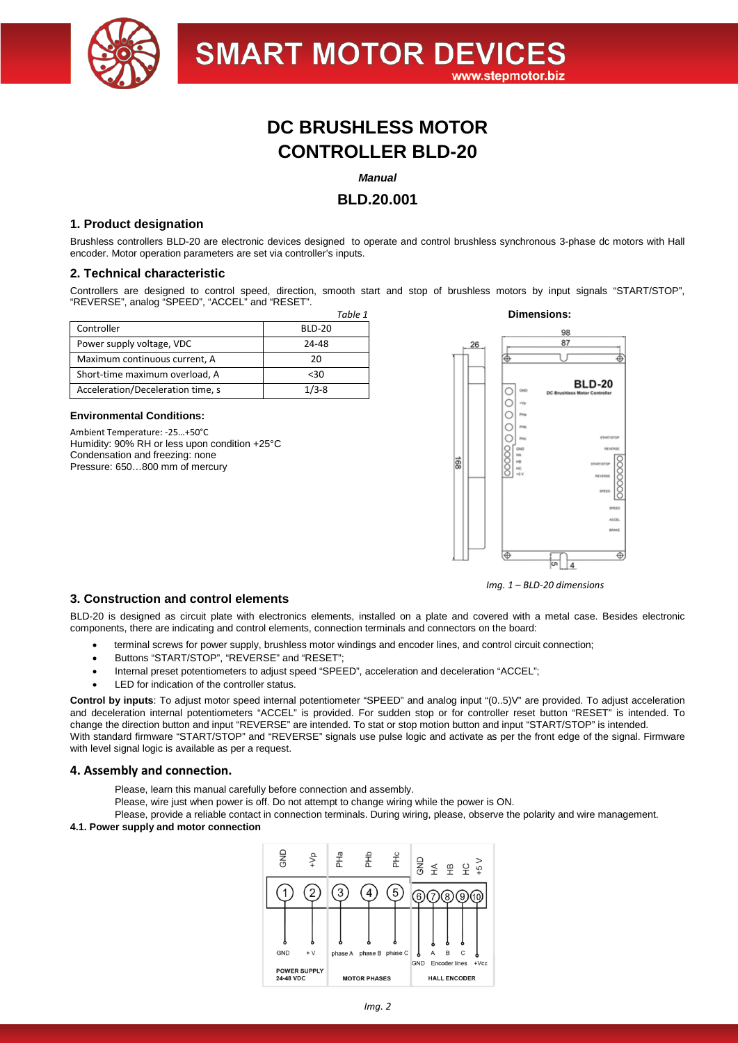

# **DC BRUSHLESS MOTOR CONTROLLER BLD-20**

## *Manual*

# **BLD.20.001**

## **1. Product designation**

Brushless controllers BLD-20 are electronic devices designed to operate and control brushless synchronous 3-phase dc motors with Hall encoder. Motor operation parameters are set via controller's inputs.

#### **2. Technical characteristic**

Controllers are designed to control speed, direction, smooth start and stop of brushless motors by input signals "START/STOP", "REVERSE", analog "SPEED", "ACCEL" and "RESET".

| Controller                        | <b>BLD-20</b> |  |
|-----------------------------------|---------------|--|
| Power supply voltage, VDC         | 24-48         |  |
| Maximum continuous current, A     | 20            |  |
| Short-time maximum overload, A    | $30$          |  |
| Acceleration/Deceleration time, s | $1/3 - 8$     |  |

#### **Environmental Conditions:**

Ambient Temperature: -25…+50°C Humidity: 90% RH or less upon condition +25°C Condensation and freezing: none Pressure: 650...800 mm of mercury



*Img. 1 – BLD-20 dimensions*

## **3. Construction and control elements**

BLD-20 is designed as circuit plate with electronics elements, installed on a plate and covered with a metal case. Besides electronic components, there are indicating and control elements, connection terminals and connectors on the board:

- terminal screws for power supply, brushless motor windings and encoder lines, and control circuit connection;
- Buttons "START/STOP", "REVERSE" and "RESET";
- Internal preset potentiometers to adjust speed "SPEED", acceleration and deceleration "ACCEL";
- LED for indication of the controller status.

**Control by inputs**: To adjust motor speed internal potentiometer "SPEED" and analog input "(0..5)V" are provided. To adjust acceleration and deceleration internal potentiometers "ACCEL" is provided. For sudden stop or for controller reset button "RESET" is intended. To change the direction button and input "REVERSE" are intended. To stat or stop motion button and input "START/STOP" is intended. With standard firmware "START/STOP" and "REVERSE" signals use pulse logic and activate as per the front edge of the signal. Firmware with level signal logic is available as per a request.

#### **4. Assembly and connection.**

Please, learn this manual carefully before connection and assembly.

Please, wire just when power is off. Do not attempt to change wiring while the power is ON.

Please, provide a reliable contact in connection terminals. During wiring, please, observe the polarity and wire management.

#### **4.1. Power supply and motor connection**